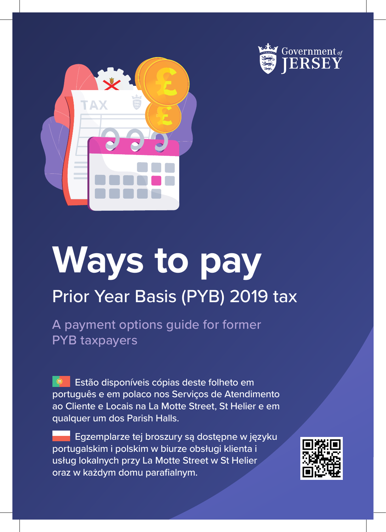



# **Ways to pay** Prior Year Basis (PYB) 2019 tax

A payment options guide for former PYB taxpayers

 Estão disponíveis cópias deste folheto em português e em polaco nos Serviços de Atendimento ao Cliente e Locais na La Motte Street, St Helier e em qualquer um dos Parish Halls.

 Egzemplarze tej broszury są dostępne w języku portugalskim i polskim w biurze obsługi klienta i usług lokalnych przy La Motte Street w St Helier oraz w każdym domu parafialnym.

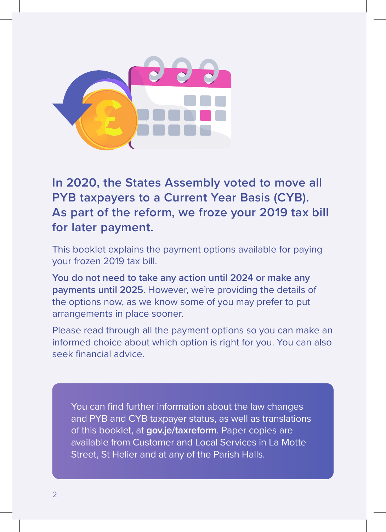

**In 2020, the States Assembly voted to move all PYB taxpayers to a Current Year Basis (CYB). As part of the reform, we froze your 2019 tax bill for later payment.** 

This booklet explains the payment options available for paying your frozen 2019 tax bill.

**You do not need to take any action until 2024 or make any payments until 2025**. However, we're providing the details of the options now, as we know some of you may prefer to put arrangements in place sooner.

Please read through all the payment options so you can make an informed choice about which option is right for you. You can also seek financial advice.

You can find further information about the law changes and PYB and CYB taxpayer status, as well as translations of this booklet, at **gov.je/taxreform**. Paper copies are available from Customer and Local Services in La Motte Street, St Helier and at any of the Parish Halls.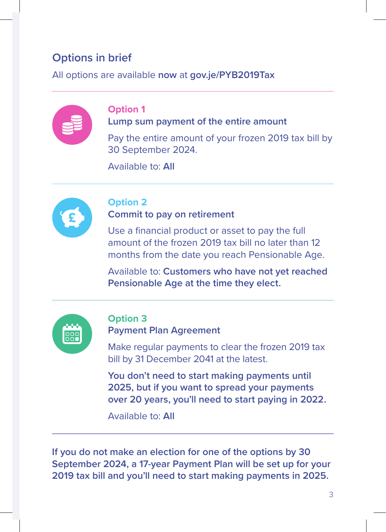# **Options in brief**

All options are available **now** at **gov.je/PYB2019Tax**



#### **Option 1 Lump sum payment of the entire amount**

Pay the entire amount of your frozen 2019 tax bill by 30 September 2024.

Available to: **All**



#### **Option 2 Commit to pay on retirement**

Use a financial product or asset to pay the full amount of the frozen 2019 tax bill no later than 12 months from the date you reach Pensionable Age.

Available to: **Customers who have not yet reached Pensionable Age at the time they elect.**



#### **Option 3**

**Payment Plan Agreement** 

Make regular payments to clear the frozen 2019 tax bill by 31 December 2041 at the latest.

**You don't need to start making payments until 2025, but if you want to spread your payments over 20 years, you'll need to start paying in 2022.**

Available to: **All**

**If you do not make an election for one of the options by 30 September 2024, a 17-year Payment Plan will be set up for your 2019 tax bill and you'll need to start making payments in 2025.**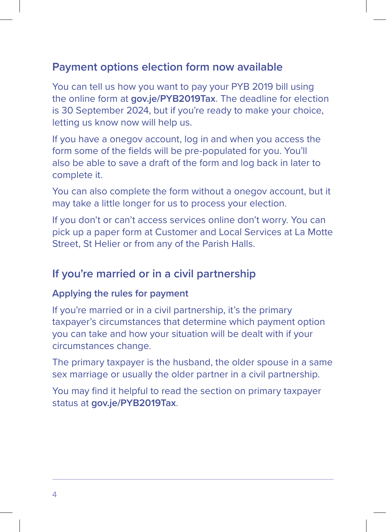# **Payment options election form now available**

You can tell us how you want to pay your PYB 2019 bill using the online form at **gov.je/PYB2019Tax**. The deadline for election is 30 September 2024, but if you're ready to make your choice, letting us know now will help us.

If you have a onegov account, log in and when you access the form some of the fields will be pre-populated for you. You'll also be able to save a draft of the form and log back in later to complete it.

You can also complete the form without a onegov account, but it may take a little longer for us to process your election.

If you don't or can't access services online don't worry. You can pick up a paper form at Customer and Local Services at La Motte Street, St Helier or from any of the Parish Halls.

## **If you're married or in a civil partnership**

#### **Applying the rules for payment**

If you're married or in a civil partnership, it's the primary taxpayer's circumstances that determine which payment option you can take and how your situation will be dealt with if your circumstances change.

The primary taxpayer is the husband, the older spouse in a same sex marriage or usually the older partner in a civil partnership.

You may find it helpful to read the section on primary taxpayer status at **gov.je/PYB2019Tax**.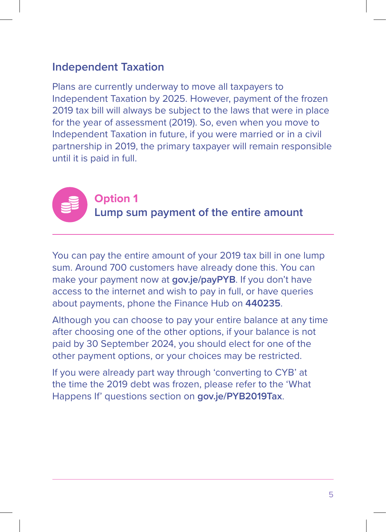## **Independent Taxation**

Plans are currently underway to move all taxpayers to Independent Taxation by 2025. However, payment of the frozen 2019 tax bill will always be subject to the laws that were in place for the year of assessment (2019). So, even when you move to Independent Taxation in future, if you were married or in a civil partnership in 2019, the primary taxpayer will remain responsible until it is paid in full.



#### **Option 1**

**Lump sum payment of the entire amount**

You can pay the entire amount of your 2019 tax bill in one lump sum. Around 700 customers have already done this. You can make your payment now at **gov.je/payPYB**. If you don't have access to the internet and wish to pay in full, or have queries about payments, phone the Finance Hub on **440235**.

Although you can choose to pay your entire balance at any time after choosing one of the other options, if your balance is not paid by 30 September 2024, you should elect for one of the other payment options, or your choices may be restricted.

If you were already part way through 'converting to CYB' at the time the 2019 debt was frozen, please refer to the 'What Happens If' questions section on **gov.je/PYB2019Tax**.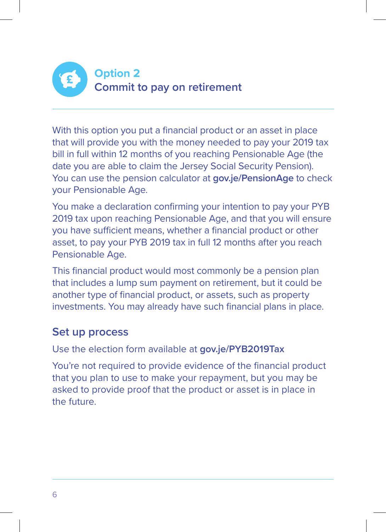

With this option you put a financial product or an asset in place that will provide you with the money needed to pay your 2019 tax bill in full within 12 months of you reaching Pensionable Age (the date you are able to claim the Jersey Social Security Pension). You can use the pension calculator at **gov.je/PensionAge** to check your Pensionable Age.

You make a declaration confirming your intention to pay your PYB 2019 tax upon reaching Pensionable Age, and that you will ensure you have sufficient means, whether a financial product or other asset, to pay your PYB 2019 tax in full 12 months after you reach Pensionable Age.

This financial product would most commonly be a pension plan that includes a lump sum payment on retirement, but it could be another type of financial product, or assets, such as property investments. You may already have such financial plans in place.

#### **Set up process**

#### Use the election form available at **gov.je/PYB2019Tax**

You're not required to provide evidence of the financial product that you plan to use to make your repayment, but you may be asked to provide proof that the product or asset is in place in the future.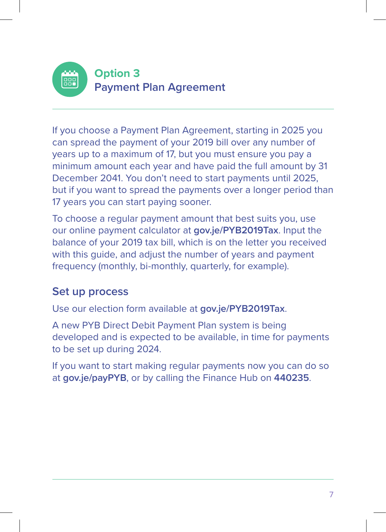

If you choose a Payment Plan Agreement, starting in 2025 you can spread the payment of your 2019 bill over any number of years up to a maximum of 17, but you must ensure you pay a minimum amount each year and have paid the full amount by 31 December 2041. You don't need to start payments until 2025, but if you want to spread the payments over a longer period than 17 years you can start paying sooner.

To choose a regular payment amount that best suits you, use our online payment calculator at **gov.je/PYB2019Tax**. Input the balance of your 2019 tax bill, which is on the letter you received with this guide, and adjust the number of years and payment frequency (monthly, bi-monthly, quarterly, for example).

## **Set up process**

Use our election form available at **gov.je/PYB2019Tax**.

A new PYB Direct Debit Payment Plan system is being developed and is expected to be available, in time for payments to be set up during 2024.

If you want to start making regular payments now you can do so at **gov.je/payPYB**, or by calling the Finance Hub on **440235**.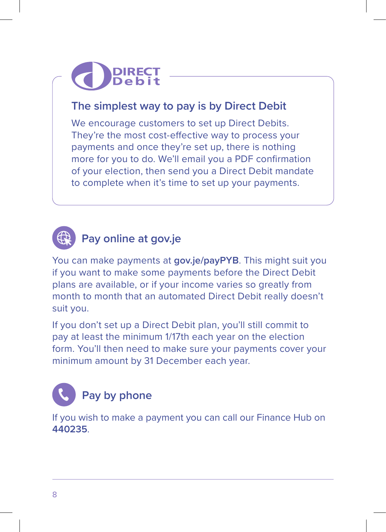

# **The simplest way to pay is by Direct Debit**

We encourage customers to set up Direct Debits. They're the most cost-effective way to process your payments and once they're set up, there is nothing more for you to do. We'll email you a PDF confirmation of your election, then send you a Direct Debit mandate to complete when it's time to set up your payments.



# **Pay online at gov.je**

You can make payments at **gov.je/payPYB**. This might suit you if you want to make some payments before the Direct Debit plans are available, or if your income varies so greatly from month to month that an automated Direct Debit really doesn't suit you.

If you don't set up a Direct Debit plan, you'll still commit to pay at least the minimum 1/17th each year on the election form. You'll then need to make sure your payments cover your minimum amount by 31 December each year.

# **Pay by phone**

If you wish to make a payment you can call our Finance Hub on **440235**.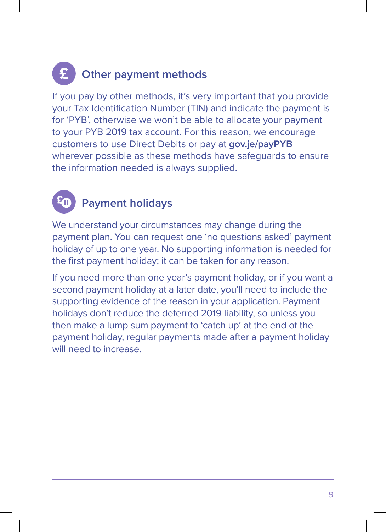# **Other payment methods**

If you pay by other methods, it's very important that you provide your Tax Identification Number (TIN) and indicate the payment is for 'PYB', otherwise we won't be able to allocate your payment to your PYB 2019 tax account. For this reason, we encourage customers to use Direct Debits or pay at **gov.je/payPYB** wherever possible as these methods have safeguards to ensure the information needed is always supplied.

# **Payment holidays**

We understand your circumstances may change during the payment plan. You can request one 'no questions asked' payment holiday of up to one year. No supporting information is needed for the first payment holiday; it can be taken for any reason.

If you need more than one year's payment holiday, or if you want a second payment holiday at a later date, you'll need to include the supporting evidence of the reason in your application. Payment holidays don't reduce the deferred 2019 liability, so unless you then make a lump sum payment to 'catch up' at the end of the payment holiday, regular payments made after a payment holiday will need to increase.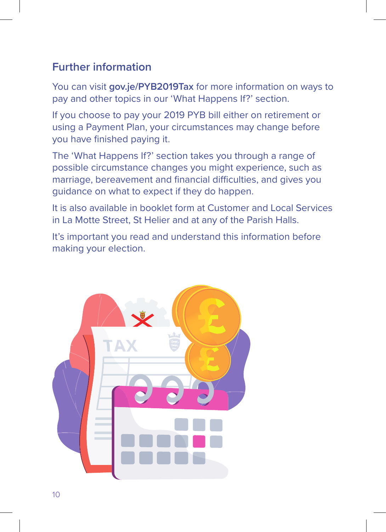# **Further information**

You can visit **gov.je/PYB2019Tax** for more information on ways to pay and other topics in our 'What Happens If?' section.

If you choose to pay your 2019 PYB bill either on retirement or using a Payment Plan, your circumstances may change before you have finished paying it.

The 'What Happens If?' section takes you through a range of possible circumstance changes you might experience, such as marriage, bereavement and financial difficulties, and gives you guidance on what to expect if they do happen.

It is also available in booklet form at Customer and Local Services in La Motte Street, St Helier and at any of the Parish Halls.

It's important you read and understand this information before making your election.

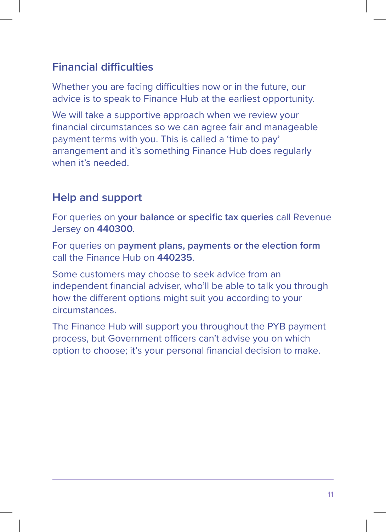# **Financial difficulties**

Whether you are facing difficulties now or in the future, our advice is to speak to Finance Hub at the earliest opportunity.

We will take a supportive approach when we review your financial circumstances so we can agree fair and manageable payment terms with you. This is called a 'time to pay' arrangement and it's something Finance Hub does regularly when it's needed.

# **Help and support**

For queries on **your balance or specific tax queries** call Revenue Jersey on **440300**.

For queries on **payment plans, payments or the election form** call the Finance Hub on **440235**.

Some customers may choose to seek advice from an independent financial adviser, who'll be able to talk you through how the different options might suit you according to your circumstances.

The Finance Hub will support you throughout the PYB payment process, but Government officers can't advise you on which option to choose; it's your personal financial decision to make.